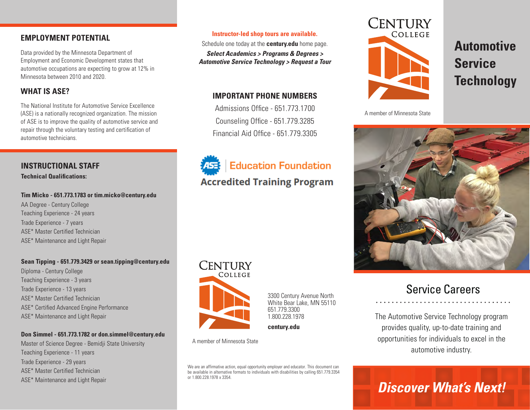# **EMPLOYMENT POTENTIAL**

Data provided by the Minnesota Department of Employment and Economic Development states that automotive occupations are expecting to grow at 12% in Minnesota between 2010 and 2020.

# **WHAT IS ASE?**

The National Institute for Automotive Service Excellence (ASE) is a nationally recognized organization. The mission of ASE is to improve the quality of automotive service and repair through the voluntary testing and certification of automotive technicians.

# **INSTRUCTIONAL STAFF**

**Technical Qualifications:**

#### **Tim Micko - 651.773.1783 or tim.micko@century.edu**

AA Degree - Century College Teaching Experience - 24 years Trade Experience - 7 years ASE\* Master Certified Technician ASE\* Maintenance and Light Repair

#### **Sean Tipping - 651.779.3429 or sean.tipping@century.edu**

Diploma - Century College Teaching Experience - 3 years Trade Experience - 13 years ASE\* Master Certified Technician ASE\* Certified Advanced Engine Performance ASE\* Maintenance and Light Repair

#### **Don Simmel - 651.773.1782 or don.simmel@century.edu**

Master of Science Degree - Bemidji State University Teaching Experience - 11 years Trade Experience - 29 years ASE\* Master Certified Technician ASE\* Maintenance and Light Repair

#### **Instructor-led shop tours are available.**

Schedule one today at the **century.edu** home page.

*Select Academics > Programs & Degrees > Automotive Service Technology > Request a Tour*

### **IMPORTANT PHONE NUMBERS**

Admissions Office - 651.773.1700 Counseling Office - 651.779.3285 Financial Aid Office - 651.779.3305



# **Education Foundation**

# **Accredited Training Program**



3300 Century Avenue North White Bear Lake, MN 55110 651.779.3300 1.800.228.1978

**century.edu**

A member of Minnesota State

We are an affirmative action, equal opportunity employer and educator. This document can be available in alternative formats to individuals with disabilities by calling 651.779.3354 or 1.800.228.1978 x 3354.



# **Automotive Service Technology**

A member of Minnesota State



# Service Careers

The Automotive Service Technology program provides quality, up-to-date training and opportunities for individuals to excel in the automotive industry.

# *Discover What's Next!*